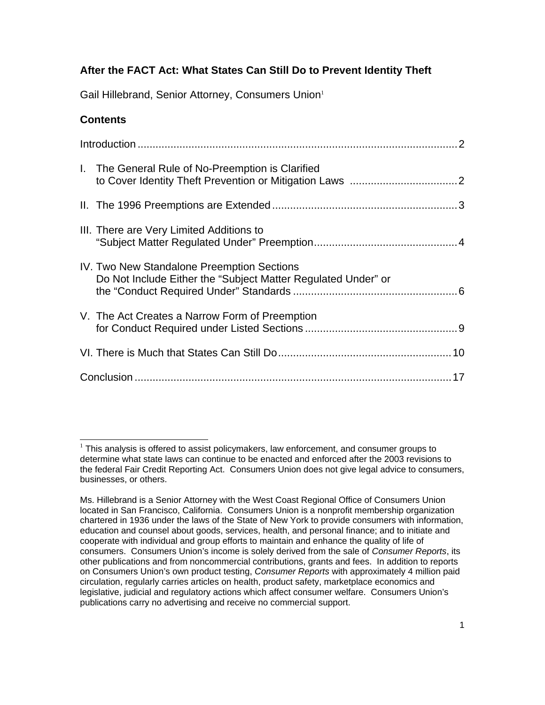# **After the FACT Act: What States Can Still Do to Prevent Identity Theft**

Gail Hillebrand, Senior Attorney, Consumers Union<sup>1</sup>

## **Contents**

|  | I. The General Rule of No-Preemption is Clarified                                                           |
|--|-------------------------------------------------------------------------------------------------------------|
|  |                                                                                                             |
|  | III. There are Very Limited Additions to                                                                    |
|  | IV. Two New Standalone Preemption Sections<br>Do Not Include Either the "Subject Matter Regulated Under" or |
|  | V. The Act Creates a Narrow Form of Preemption                                                              |
|  |                                                                                                             |
|  |                                                                                                             |

 $\overline{a}$  $1$  This analysis is offered to assist policymakers, law enforcement, and consumer groups to determine what state laws can continue to be enacted and enforced after the 2003 revisions to the federal Fair Credit Reporting Act. Consumers Union does not give legal advice to consumers, businesses, or others.

Ms. Hillebrand is a Senior Attorney with the West Coast Regional Office of Consumers Union located in San Francisco, California. Consumers Union is a nonprofit membership organization chartered in 1936 under the laws of the State of New York to provide consumers with information, education and counsel about goods, services, health, and personal finance; and to initiate and cooperate with individual and group efforts to maintain and enhance the quality of life of consumers. Consumers Union's income is solely derived from the sale of *Consumer Reports*, its other publications and from noncommercial contributions, grants and fees. In addition to reports on Consumers Union's own product testing, *Consumer Reports* with approximately 4 million paid circulation, regularly carries articles on health, product safety, marketplace economics and legislative, judicial and regulatory actions which affect consumer welfare. Consumers Union's publications carry no advertising and receive no commercial support.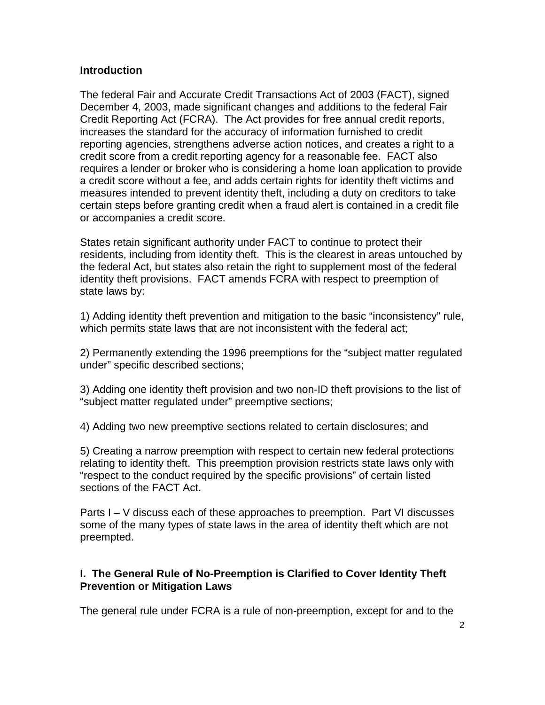#### **Introduction**

The federal Fair and Accurate Credit Transactions Act of 2003 (FACT), signed December 4, 2003, made significant changes and additions to the federal Fair Credit Reporting Act (FCRA). The Act provides for free annual credit reports, increases the standard for the accuracy of information furnished to credit reporting agencies, strengthens adverse action notices, and creates a right to a credit score from a credit reporting agency for a reasonable fee. FACT also requires a lender or broker who is considering a home loan application to provide a credit score without a fee, and adds certain rights for identity theft victims and measures intended to prevent identity theft, including a duty on creditors to take certain steps before granting credit when a fraud alert is contained in a credit file or accompanies a credit score.

States retain significant authority under FACT to continue to protect their residents, including from identity theft. This is the clearest in areas untouched by the federal Act, but states also retain the right to supplement most of the federal identity theft provisions. FACT amends FCRA with respect to preemption of state laws by:

1) Adding identity theft prevention and mitigation to the basic "inconsistency" rule, which permits state laws that are not inconsistent with the federal act;

2) Permanently extending the 1996 preemptions for the "subject matter regulated under" specific described sections;

3) Adding one identity theft provision and two non-ID theft provisions to the list of "subject matter regulated under" preemptive sections;

4) Adding two new preemptive sections related to certain disclosures; and

5) Creating a narrow preemption with respect to certain new federal protections relating to identity theft. This preemption provision restricts state laws only with "respect to the conduct required by the specific provisions" of certain listed sections of the FACT Act.

Parts I – V discuss each of these approaches to preemption. Part VI discusses some of the many types of state laws in the area of identity theft which are not preempted.

### **I. The General Rule of No-Preemption is Clarified to Cover Identity Theft Prevention or Mitigation Laws**

The general rule under FCRA is a rule of non-preemption, except for and to the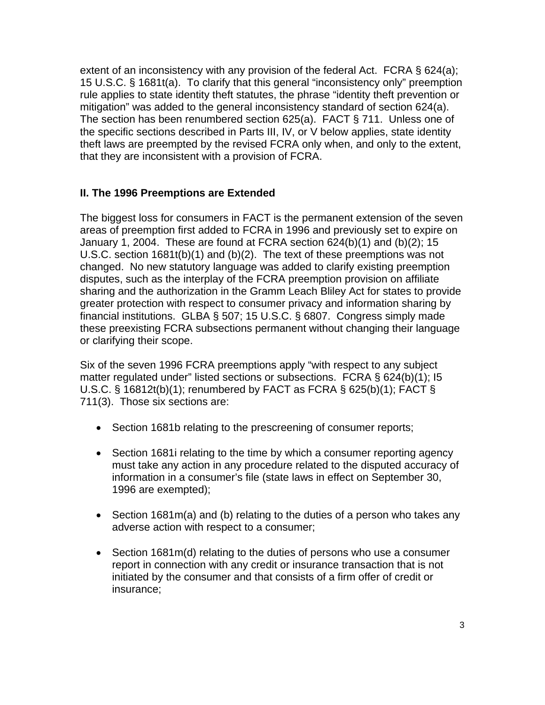extent of an inconsistency with any provision of the federal Act. FCRA § 624(a); 15 U.S.C. § 1681t(a). To clarify that this general "inconsistency only" preemption rule applies to state identity theft statutes, the phrase "identity theft prevention or mitigation" was added to the general inconsistency standard of section 624(a). The section has been renumbered section 625(a). FACT § 711. Unless one of the specific sections described in Parts III, IV, or V below applies, state identity theft laws are preempted by the revised FCRA only when, and only to the extent, that they are inconsistent with a provision of FCRA.

# **II. The 1996 Preemptions are Extended**

The biggest loss for consumers in FACT is the permanent extension of the seven areas of preemption first added to FCRA in 1996 and previously set to expire on January 1, 2004. These are found at FCRA section 624(b)(1) and (b)(2); 15 U.S.C. section 1681t(b)(1) and (b)(2). The text of these preemptions was not changed. No new statutory language was added to clarify existing preemption disputes, such as the interplay of the FCRA preemption provision on affiliate sharing and the authorization in the Gramm Leach Bliley Act for states to provide greater protection with respect to consumer privacy and information sharing by financial institutions. GLBA § 507; 15 U.S.C. § 6807. Congress simply made these preexisting FCRA subsections permanent without changing their language or clarifying their scope.

Six of the seven 1996 FCRA preemptions apply "with respect to any subject matter regulated under" listed sections or subsections. FCRA § 624(b)(1); I5 U.S.C. § 16812t(b)(1); renumbered by FACT as FCRA § 625(b)(1); FACT § 711(3). Those six sections are:

- Section 1681b relating to the prescreening of consumer reports;
- Section 1681 relating to the time by which a consumer reporting agency must take any action in any procedure related to the disputed accuracy of information in a consumer's file (state laws in effect on September 30, 1996 are exempted);
- Section 1681m(a) and (b) relating to the duties of a person who takes any adverse action with respect to a consumer;
- Section 1681m(d) relating to the duties of persons who use a consumer report in connection with any credit or insurance transaction that is not initiated by the consumer and that consists of a firm offer of credit or insurance;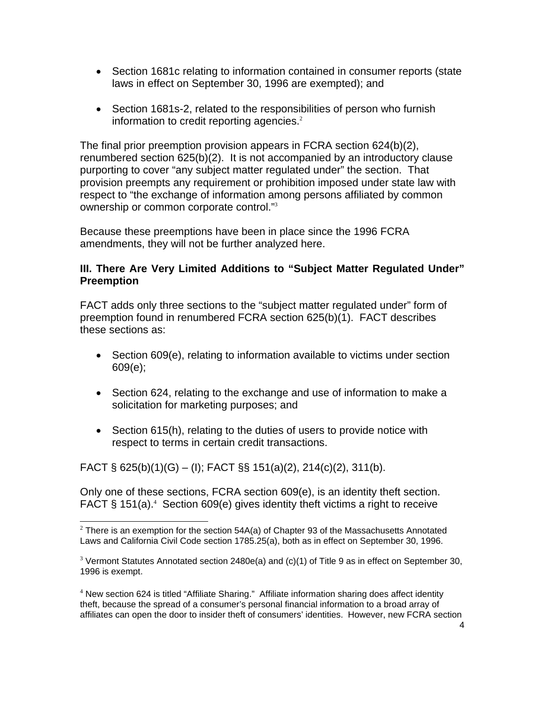- Section 1681c relating to information contained in consumer reports (state laws in effect on September 30, 1996 are exempted); and
- Section 1681s-2, related to the responsibilities of person who furnish information to credit reporting agencies. $2$

The final prior preemption provision appears in FCRA section 624(b)(2), renumbered section 625(b)(2). It is not accompanied by an introductory clause purporting to cover "any subject matter regulated under" the section. That provision preempts any requirement or prohibition imposed under state law with respect to "the exchange of information among persons affiliated by common ownership or common corporate control."<sup>3</sup>

Because these preemptions have been in place since the 1996 FCRA amendments, they will not be further analyzed here.

### **III. There Are Very Limited Additions to "Subject Matter Regulated Under" Preemption**

FACT adds only three sections to the "subject matter regulated under" form of preemption found in renumbered FCRA section 625(b)(1). FACT describes these sections as:

- Section 609(e), relating to information available to victims under section 609(e);
- Section 624, relating to the exchange and use of information to make a solicitation for marketing purposes; and
- Section 615(h), relating to the duties of users to provide notice with respect to terms in certain credit transactions.

FACT § 625(b)(1)(G) – (I); FACT §§ 151(a)(2), 214(c)(2), 311(b).

Only one of these sections, FCRA section 609(e), is an identity theft section. FACT  $\S$  151(a).<sup>4</sup> Section 609(e) gives identity theft victims a right to receive

 $\frac{2}{3}$  There is an exemption for the section 54A(a) of Chapter 93 of the Massachusetts Annotated Laws and California Civil Code section 1785.25(a), both as in effect on September 30, 1996.

<sup>&</sup>lt;sup>3</sup> Vermont Statutes Annotated section 2480e(a) and (c)(1) of Title 9 as in effect on September 30, 1996 is exempt.

<sup>&</sup>lt;sup>4</sup> New section 624 is titled "Affiliate Sharing." Affiliate information sharing does affect identity theft, because the spread of a consumer's personal financial information to a broad array of affiliates can open the door to insider theft of consumers' identities. However, new FCRA section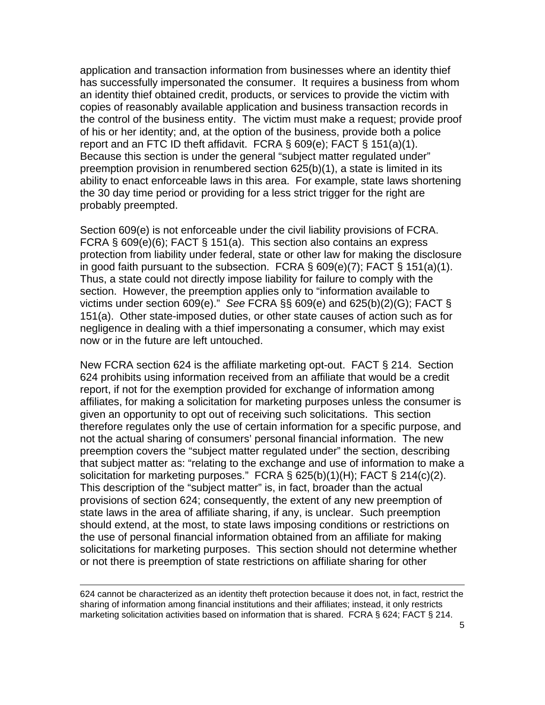application and transaction information from businesses where an identity thief has successfully impersonated the consumer. It requires a business from whom an identity thief obtained credit, products, or services to provide the victim with copies of reasonably available application and business transaction records in the control of the business entity. The victim must make a request; provide proof of his or her identity; and, at the option of the business, provide both a police report and an FTC ID theft affidavit. FCRA  $\S$  609(e); FACT  $\S$  151(a)(1). Because this section is under the general "subject matter regulated under" preemption provision in renumbered section 625(b)(1), a state is limited in its ability to enact enforceable laws in this area. For example, state laws shortening the 30 day time period or providing for a less strict trigger for the right are probably preempted.

Section 609(e) is not enforceable under the civil liability provisions of FCRA. FCRA § 609(e)(6); FACT § 151(a). This section also contains an express protection from liability under federal, state or other law for making the disclosure in good faith pursuant to the subsection. FCRA  $\S$  609(e)(7); FACT  $\S$  151(a)(1). Thus, a state could not directly impose liability for failure to comply with the section. However, the preemption applies only to "information available to victims under section 609(e)." *See* FCRA §§ 609(e) and 625(b)(2)(G); FACT § 151(a). Other state-imposed duties, or other state causes of action such as for negligence in dealing with a thief impersonating a consumer, which may exist now or in the future are left untouched.

New FCRA section 624 is the affiliate marketing opt-out. FACT § 214. Section 624 prohibits using information received from an affiliate that would be a credit report, if not for the exemption provided for exchange of information among affiliates, for making a solicitation for marketing purposes unless the consumer is given an opportunity to opt out of receiving such solicitations. This section therefore regulates only the use of certain information for a specific purpose, and not the actual sharing of consumers' personal financial information. The new preemption covers the "subject matter regulated under" the section, describing that subject matter as: "relating to the exchange and use of information to make a solicitation for marketing purposes." FCRA § 625(b)(1)(H); FACT § 214(c)(2). This description of the "subject matter" is, in fact, broader than the actual provisions of section 624; consequently, the extent of any new preemption of state laws in the area of affiliate sharing, if any, is unclear. Such preemption should extend, at the most, to state laws imposing conditions or restrictions on the use of personal financial information obtained from an affiliate for making solicitations for marketing purposes. This section should not determine whether or not there is preemption of state restrictions on affiliate sharing for other

624 cannot be characterized as an identity theft protection because it does not, in fact, restrict the sharing of information among financial institutions and their affiliates; instead, it only restricts marketing solicitation activities based on information that is shared. FCRA § 624; FACT § 214.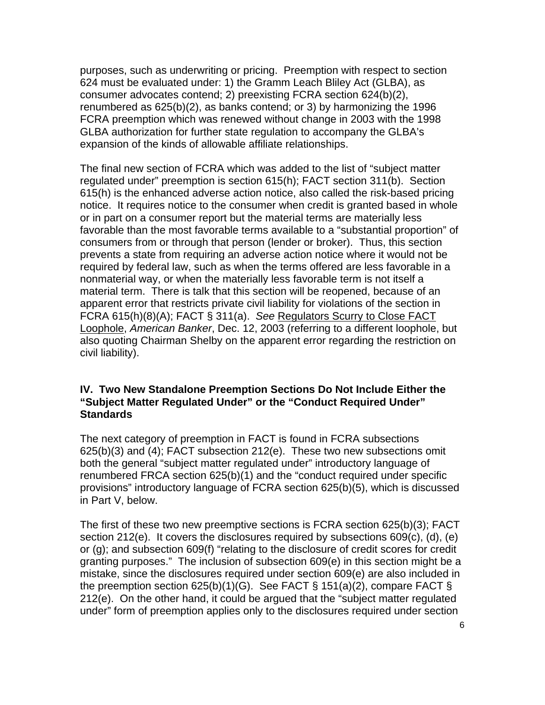purposes, such as underwriting or pricing. Preemption with respect to section 624 must be evaluated under: 1) the Gramm Leach Bliley Act (GLBA), as consumer advocates contend; 2) preexisting FCRA section 624(b)(2), renumbered as 625(b)(2), as banks contend; or 3) by harmonizing the 1996 FCRA preemption which was renewed without change in 2003 with the 1998 GLBA authorization for further state regulation to accompany the GLBA's expansion of the kinds of allowable affiliate relationships.

The final new section of FCRA which was added to the list of "subject matter regulated under" preemption is section 615(h); FACT section 311(b). Section 615(h) is the enhanced adverse action notice, also called the risk-based pricing notice. It requires notice to the consumer when credit is granted based in whole or in part on a consumer report but the material terms are materially less favorable than the most favorable terms available to a "substantial proportion" of consumers from or through that person (lender or broker). Thus, this section prevents a state from requiring an adverse action notice where it would not be required by federal law, such as when the terms offered are less favorable in a nonmaterial way, or when the materially less favorable term is not itself a material term. There is talk that this section will be reopened, because of an apparent error that restricts private civil liability for violations of the section in FCRA 615(h)(8)(A); FACT § 311(a). *See* Regulators Scurry to Close FACT Loophole, *American Banker*, Dec. 12, 2003 (referring to a different loophole, but also quoting Chairman Shelby on the apparent error regarding the restriction on civil liability).

#### **IV. Two New Standalone Preemption Sections Do Not Include Either the "Subject Matter Regulated Under" or the "Conduct Required Under" Standards**

The next category of preemption in FACT is found in FCRA subsections 625(b)(3) and (4); FACT subsection 212(e). These two new subsections omit both the general "subject matter regulated under" introductory language of renumbered FRCA section 625(b)(1) and the "conduct required under specific provisions" introductory language of FCRA section 625(b)(5), which is discussed in Part V, below.

The first of these two new preemptive sections is FCRA section 625(b)(3); FACT section 212(e). It covers the disclosures required by subsections 609(c), (d), (e) or (g); and subsection 609(f) "relating to the disclosure of credit scores for credit granting purposes." The inclusion of subsection 609(e) in this section might be a mistake, since the disclosures required under section 609(e) are also included in the preemption section  $625(b)(1)(G)$ . See FACT § 151(a)(2), compare FACT § 212(e). On the other hand, it could be argued that the "subject matter regulated under" form of preemption applies only to the disclosures required under section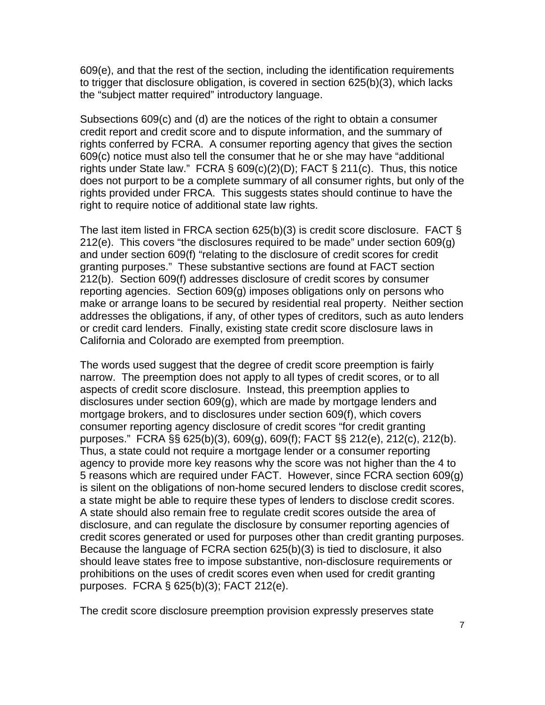609(e), and that the rest of the section, including the identification requirements to trigger that disclosure obligation, is covered in section 625(b)(3), which lacks the "subject matter required" introductory language.

Subsections 609(c) and (d) are the notices of the right to obtain a consumer credit report and credit score and to dispute information, and the summary of rights conferred by FCRA. A consumer reporting agency that gives the section 609(c) notice must also tell the consumer that he or she may have "additional rights under State law." FCRA § 609(c)(2)(D); FACT § 211(c). Thus, this notice does not purport to be a complete summary of all consumer rights, but only of the rights provided under FRCA. This suggests states should continue to have the right to require notice of additional state law rights.

The last item listed in FRCA section 625(b)(3) is credit score disclosure. FACT § 212(e). This covers "the disclosures required to be made" under section 609(g) and under section 609(f) "relating to the disclosure of credit scores for credit granting purposes." These substantive sections are found at FACT section 212(b). Section 609(f) addresses disclosure of credit scores by consumer reporting agencies. Section 609(g) imposes obligations only on persons who make or arrange loans to be secured by residential real property. Neither section addresses the obligations, if any, of other types of creditors, such as auto lenders or credit card lenders. Finally, existing state credit score disclosure laws in California and Colorado are exempted from preemption.

The words used suggest that the degree of credit score preemption is fairly narrow. The preemption does not apply to all types of credit scores, or to all aspects of credit score disclosure. Instead, this preemption applies to disclosures under section 609(g), which are made by mortgage lenders and mortgage brokers, and to disclosures under section 609(f), which covers consumer reporting agency disclosure of credit scores "for credit granting purposes." FCRA §§ 625(b)(3), 609(g), 609(f); FACT §§ 212(e), 212(c), 212(b). Thus, a state could not require a mortgage lender or a consumer reporting agency to provide more key reasons why the score was not higher than the 4 to 5 reasons which are required under FACT. However, since FCRA section 609(g) is silent on the obligations of non-home secured lenders to disclose credit scores, a state might be able to require these types of lenders to disclose credit scores. A state should also remain free to regulate credit scores outside the area of disclosure, and can regulate the disclosure by consumer reporting agencies of credit scores generated or used for purposes other than credit granting purposes. Because the language of FCRA section 625(b)(3) is tied to disclosure, it also should leave states free to impose substantive, non-disclosure requirements or prohibitions on the uses of credit scores even when used for credit granting purposes. FCRA § 625(b)(3); FACT 212(e).

The credit score disclosure preemption provision expressly preserves state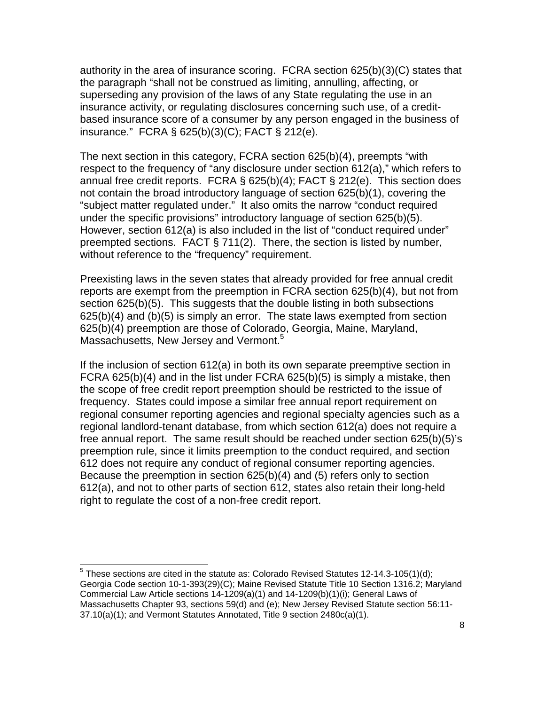authority in the area of insurance scoring. FCRA section 625(b)(3)(C) states that the paragraph "shall not be construed as limiting, annulling, affecting, or superseding any provision of the laws of any State regulating the use in an insurance activity, or regulating disclosures concerning such use, of a creditbased insurance score of a consumer by any person engaged in the business of insurance." FCRA § 625(b)(3)(C); FACT § 212(e).

The next section in this category, FCRA section 625(b)(4), preempts "with respect to the frequency of "any disclosure under section 612(a)," which refers to annual free credit reports. FCRA § 625(b)(4); FACT § 212(e). This section does not contain the broad introductory language of section 625(b)(1), covering the "subject matter regulated under." It also omits the narrow "conduct required under the specific provisions" introductory language of section 625(b)(5). However, section 612(a) is also included in the list of "conduct required under" preempted sections. FACT § 711(2). There, the section is listed by number, without reference to the "frequency" requirement.

Preexisting laws in the seven states that already provided for free annual credit reports are exempt from the preemption in FCRA section 625(b)(4), but not from section 625(b)(5). This suggests that the double listing in both subsections 625(b)(4) and (b)(5) is simply an error. The state laws exempted from section 625(b)(4) preemption are those of Colorado, Georgia, Maine, Maryland, Massachusetts, New Jersey and Vermont.<sup>5</sup>

If the inclusion of section 612(a) in both its own separate preemptive section in FCRA 625(b)(4) and in the list under FCRA 625(b)(5) is simply a mistake, then the scope of free credit report preemption should be restricted to the issue of frequency. States could impose a similar free annual report requirement on regional consumer reporting agencies and regional specialty agencies such as a regional landlord-tenant database, from which section 612(a) does not require a free annual report. The same result should be reached under section 625(b)(5)'s preemption rule, since it limits preemption to the conduct required, and section 612 does not require any conduct of regional consumer reporting agencies. Because the preemption in section 625(b)(4) and (5) refers only to section 612(a), and not to other parts of section 612, states also retain their long-held right to regulate the cost of a non-free credit report.

 5 These sections are cited in the statute as: Colorado Revised Statutes 12-14.3-105(1)(d); Georgia Code section 10-1-393(29)(C); Maine Revised Statute Title 10 Section 1316.2; Maryland Commercial Law Article sections 14-1209(a)(1) and 14-1209(b)(1)(i); General Laws of Massachusetts Chapter 93, sections 59(d) and (e); New Jersey Revised Statute section 56:11- 37.10(a)(1); and Vermont Statutes Annotated, Title 9 section 2480c(a)(1).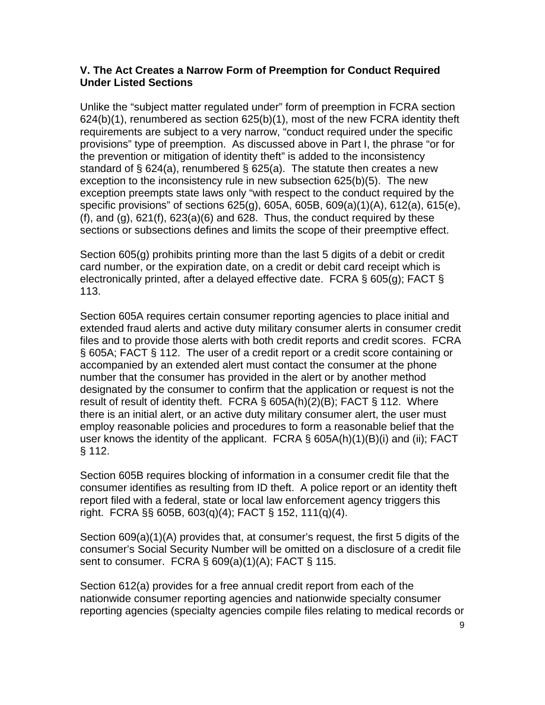#### **V. The Act Creates a Narrow Form of Preemption for Conduct Required Under Listed Sections**

Unlike the "subject matter regulated under" form of preemption in FCRA section 624(b)(1), renumbered as section 625(b)(1), most of the new FCRA identity theft requirements are subject to a very narrow, "conduct required under the specific provisions" type of preemption. As discussed above in Part I, the phrase "or for the prevention or mitigation of identity theft" is added to the inconsistency standard of § 624(a), renumbered § 625(a). The statute then creates a new exception to the inconsistency rule in new subsection 625(b)(5). The new exception preempts state laws only "with respect to the conduct required by the specific provisions" of sections 625(g), 605A, 605B, 609(a)(1)(A), 612(a), 615(e),  $(f)$ , and  $(g)$ ,  $621(f)$ ,  $623(a)(6)$  and  $628$ . Thus, the conduct required by these sections or subsections defines and limits the scope of their preemptive effect.

Section 605(g) prohibits printing more than the last 5 digits of a debit or credit card number, or the expiration date, on a credit or debit card receipt which is electronically printed, after a delayed effective date. FCRA § 605(g); FACT § 113.

Section 605A requires certain consumer reporting agencies to place initial and extended fraud alerts and active duty military consumer alerts in consumer credit files and to provide those alerts with both credit reports and credit scores. FCRA § 605A; FACT § 112. The user of a credit report or a credit score containing or accompanied by an extended alert must contact the consumer at the phone number that the consumer has provided in the alert or by another method designated by the consumer to confirm that the application or request is not the result of result of identity theft. FCRA § 605A(h)(2)(B); FACT § 112. Where there is an initial alert, or an active duty military consumer alert, the user must employ reasonable policies and procedures to form a reasonable belief that the user knows the identity of the applicant. FCRA § 605A(h)(1)(B)(i) and (ii); FACT § 112.

Section 605B requires blocking of information in a consumer credit file that the consumer identifies as resulting from ID theft. A police report or an identity theft report filed with a federal, state or local law enforcement agency triggers this right. FCRA §§ 605B, 603(q)(4); FACT § 152, 111(q)(4).

Section 609(a)(1)(A) provides that, at consumer's request, the first 5 digits of the consumer's Social Security Number will be omitted on a disclosure of a credit file sent to consumer. FCRA § 609(a)(1)(A); FACT § 115.

Section 612(a) provides for a free annual credit report from each of the nationwide consumer reporting agencies and nationwide specialty consumer reporting agencies (specialty agencies compile files relating to medical records or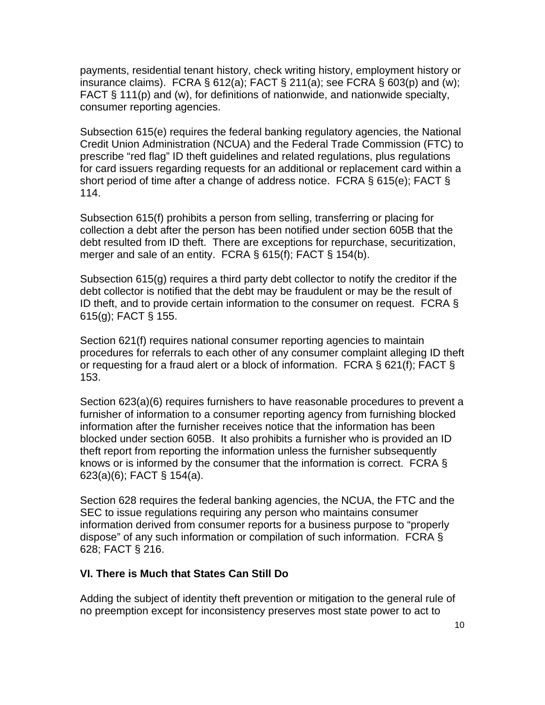payments, residential tenant history, check writing history, employment history or insurance claims). FCRA  $\S 612(a)$ ; FACT  $\S 211(a)$ ; see FCRA  $\S 603(p)$  and (w); FACT § 111(p) and (w), for definitions of nationwide, and nationwide specialty, consumer reporting agencies.

Subsection 615(e) requires the federal banking regulatory agencies, the National Credit Union Administration (NCUA) and the Federal Trade Commission (FTC) to prescribe "red flag" ID theft guidelines and related regulations, plus regulations for card issuers regarding requests for an additional or replacement card within a short period of time after a change of address notice. FCRA § 615(e); FACT § 114.

Subsection 615(f) prohibits a person from selling, transferring or placing for collection a debt after the person has been notified under section 605B that the debt resulted from ID theft. There are exceptions for repurchase, securitization, merger and sale of an entity. FCRA § 615(f); FACT § 154(b).

Subsection 615(g) requires a third party debt collector to notify the creditor if the debt collector is notified that the debt may be fraudulent or may be the result of ID theft, and to provide certain information to the consumer on request. FCRA § 615(g); FACT § 155.

Section 621(f) requires national consumer reporting agencies to maintain procedures for referrals to each other of any consumer complaint alleging ID theft or requesting for a fraud alert or a block of information. FCRA § 621(f); FACT § 153.

Section 623(a)(6) requires furnishers to have reasonable procedures to prevent a furnisher of information to a consumer reporting agency from furnishing blocked information after the furnisher receives notice that the information has been blocked under section 605B. It also prohibits a furnisher who is provided an ID theft report from reporting the information unless the furnisher subsequently knows or is informed by the consumer that the information is correct. FCRA § 623(a)(6); FACT § 154(a).

Section 628 requires the federal banking agencies, the NCUA, the FTC and the SEC to issue regulations requiring any person who maintains consumer information derived from consumer reports for a business purpose to "properly dispose" of any such information or compilation of such information. FCRA § 628; FACT § 216.

#### **VI. There is Much that States Can Still Do**

Adding the subject of identity theft prevention or mitigation to the general rule of no preemption except for inconsistency preserves most state power to act to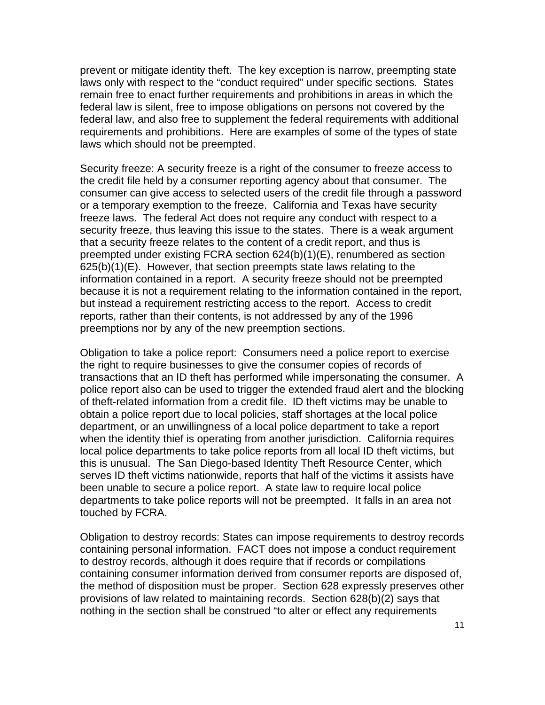prevent or mitigate identity theft. The key exception is narrow, preempting state laws only with respect to the "conduct required" under specific sections. States remain free to enact further requirements and prohibitions in areas in which the federal law is silent, free to impose obligations on persons not covered by the federal law, and also free to supplement the federal requirements with additional requirements and prohibitions. Here are examples of some of the types of state laws which should not be preempted.

Security freeze: A security freeze is a right of the consumer to freeze access to the credit file held by a consumer reporting agency about that consumer. The consumer can give access to selected users of the credit file through a password or a temporary exemption to the freeze. California and Texas have security freeze laws. The federal Act does not require any conduct with respect to a security freeze, thus leaving this issue to the states. There is a weak argument that a security freeze relates to the content of a credit report, and thus is preempted under existing FCRA section 624(b)(1)(E), renumbered as section  $625(b)(1)(E)$ . However, that section preempts state laws relating to the information contained in a report. A security freeze should not be preempted because it is not a requirement relating to the information contained in the report, but instead a requirement restricting access to the report. Access to credit reports, rather than their contents, is not addressed by any of the 1996 preemptions nor by any of the new preemption sections.

Obligation to take a police report: Consumers need a police report to exercise the right to require businesses to give the consumer copies of records of transactions that an ID theft has performed while impersonating the consumer. A police report also can be used to trigger the extended fraud alert and the blocking of theft-related information from a credit file. ID theft victims may be unable to obtain a police report due to local policies, staff shortages at the local police department, or an unwillingness of a local police department to take a report when the identity thief is operating from another jurisdiction. California requires local police departments to take police reports from all local ID theft victims, but this is unusual. The San Diego-based Identity Theft Resource Center, which serves ID theft victims nationwide, reports that half of the victims it assists have been unable to secure a police report. A state law to require local police departments to take police reports will not be preempted. It falls in an area not touched by FCRA.

Obligation to destroy records: States can impose requirements to destroy records containing personal information. FACT does not impose a conduct requirement to destroy records, although it does require that if records or compilations containing consumer information derived from consumer reports are disposed of, the method of disposition must be proper. Section 628 expressly preserves other provisions of law related to maintaining records. Section 628(b)(2) says that nothing in the section shall be construed "to alter or effect any requirements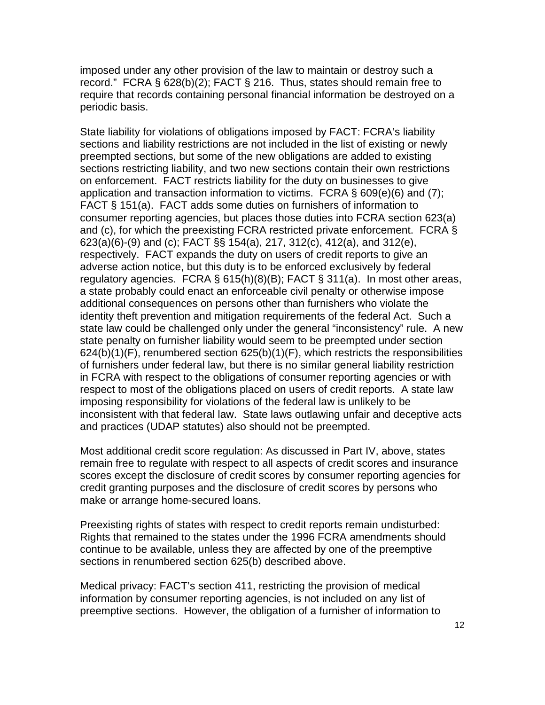imposed under any other provision of the law to maintain or destroy such a record." FCRA § 628(b)(2); FACT § 216. Thus, states should remain free to require that records containing personal financial information be destroyed on a periodic basis.

State liability for violations of obligations imposed by FACT: FCRA's liability sections and liability restrictions are not included in the list of existing or newly preempted sections, but some of the new obligations are added to existing sections restricting liability, and two new sections contain their own restrictions on enforcement. FACT restricts liability for the duty on businesses to give application and transaction information to victims. FCRA § 609(e)(6) and (7); FACT § 151(a). FACT adds some duties on furnishers of information to consumer reporting agencies, but places those duties into FCRA section 623(a) and (c), for which the preexisting FCRA restricted private enforcement. FCRA § 623(a)(6)-(9) and (c); FACT §§ 154(a), 217, 312(c), 412(a), and 312(e), respectively. FACT expands the duty on users of credit reports to give an adverse action notice, but this duty is to be enforced exclusively by federal regulatory agencies. FCRA § 615(h)(8)(B); FACT § 311(a). In most other areas, a state probably could enact an enforceable civil penalty or otherwise impose additional consequences on persons other than furnishers who violate the identity theft prevention and mitigation requirements of the federal Act. Such a state law could be challenged only under the general "inconsistency" rule. A new state penalty on furnisher liability would seem to be preempted under section  $624(b)(1)(F)$ , renumbered section  $625(b)(1)(F)$ , which restricts the responsibilities of furnishers under federal law, but there is no similar general liability restriction in FCRA with respect to the obligations of consumer reporting agencies or with respect to most of the obligations placed on users of credit reports. A state law imposing responsibility for violations of the federal law is unlikely to be inconsistent with that federal law. State laws outlawing unfair and deceptive acts and practices (UDAP statutes) also should not be preempted.

Most additional credit score regulation: As discussed in Part IV, above, states remain free to regulate with respect to all aspects of credit scores and insurance scores except the disclosure of credit scores by consumer reporting agencies for credit granting purposes and the disclosure of credit scores by persons who make or arrange home-secured loans.

Preexisting rights of states with respect to credit reports remain undisturbed: Rights that remained to the states under the 1996 FCRA amendments should continue to be available, unless they are affected by one of the preemptive sections in renumbered section 625(b) described above.

Medical privacy: FACT's section 411, restricting the provision of medical information by consumer reporting agencies, is not included on any list of preemptive sections. However, the obligation of a furnisher of information to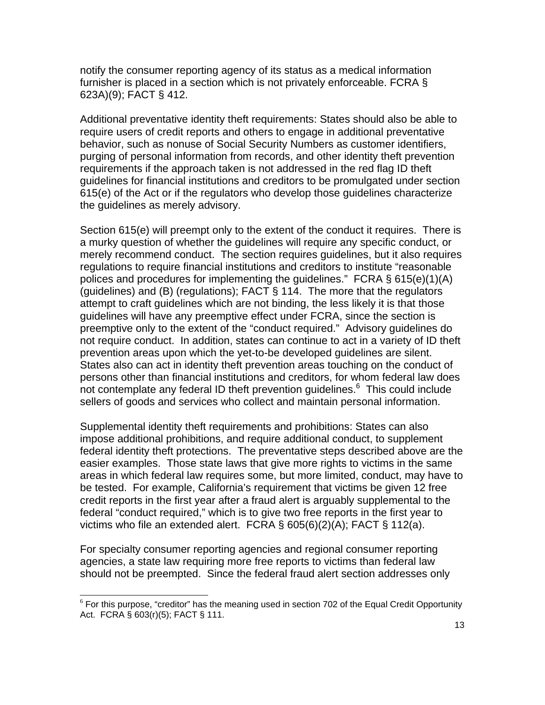notify the consumer reporting agency of its status as a medical information furnisher is placed in a section which is not privately enforceable. FCRA § 623A)(9); FACT § 412.

Additional preventative identity theft requirements: States should also be able to require users of credit reports and others to engage in additional preventative behavior, such as nonuse of Social Security Numbers as customer identifiers, purging of personal information from records, and other identity theft prevention requirements if the approach taken is not addressed in the red flag ID theft guidelines for financial institutions and creditors to be promulgated under section 615(e) of the Act or if the regulators who develop those guidelines characterize the guidelines as merely advisory.

Section 615(e) will preempt only to the extent of the conduct it requires. There is a murky question of whether the guidelines will require any specific conduct, or merely recommend conduct. The section requires guidelines, but it also requires regulations to require financial institutions and creditors to institute "reasonable polices and procedures for implementing the guidelines." FCRA § 615(e)(1)(A) (guidelines) and (B) (regulations); FACT § 114. The more that the regulators attempt to craft guidelines which are not binding, the less likely it is that those guidelines will have any preemptive effect under FCRA, since the section is preemptive only to the extent of the "conduct required." Advisory guidelines do not require conduct. In addition, states can continue to act in a variety of ID theft prevention areas upon which the yet-to-be developed guidelines are silent. States also can act in identity theft prevention areas touching on the conduct of persons other than financial institutions and creditors, for whom federal law does not contemplate any federal ID theft prevention guidelines.<sup>6</sup> This could include sellers of goods and services who collect and maintain personal information.

Supplemental identity theft requirements and prohibitions: States can also impose additional prohibitions, and require additional conduct, to supplement federal identity theft protections. The preventative steps described above are the easier examples. Those state laws that give more rights to victims in the same areas in which federal law requires some, but more limited, conduct, may have to be tested. For example, California's requirement that victims be given 12 free credit reports in the first year after a fraud alert is arguably supplemental to the federal "conduct required," which is to give two free reports in the first year to victims who file an extended alert. FCRA § 605(6)(2)(A); FACT § 112(a).

For specialty consumer reporting agencies and regional consumer reporting agencies, a state law requiring more free reports to victims than federal law should not be preempted. Since the federal fraud alert section addresses only

 $6$  For this purpose, "creditor" has the meaning used in section 702 of the Equal Credit Opportunity Act. FCRA § 603(r)(5); FACT § 111.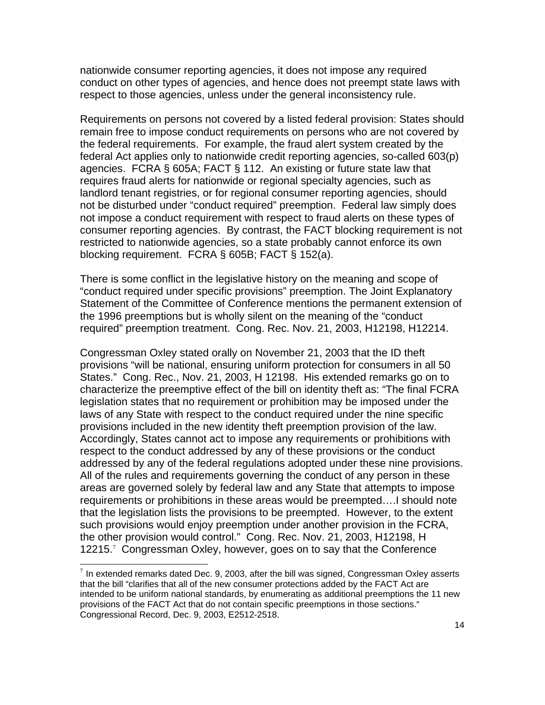nationwide consumer reporting agencies, it does not impose any required conduct on other types of agencies, and hence does not preempt state laws with respect to those agencies, unless under the general inconsistency rule.

Requirements on persons not covered by a listed federal provision: States should remain free to impose conduct requirements on persons who are not covered by the federal requirements. For example, the fraud alert system created by the federal Act applies only to nationwide credit reporting agencies, so-called 603(p) agencies. FCRA § 605A; FACT § 112. An existing or future state law that requires fraud alerts for nationwide or regional specialty agencies, such as landlord tenant registries, or for regional consumer reporting agencies, should not be disturbed under "conduct required" preemption. Federal law simply does not impose a conduct requirement with respect to fraud alerts on these types of consumer reporting agencies. By contrast, the FACT blocking requirement is not restricted to nationwide agencies, so a state probably cannot enforce its own blocking requirement. FCRA § 605B; FACT § 152(a).

There is some conflict in the legislative history on the meaning and scope of "conduct required under specific provisions" preemption. The Joint Explanatory Statement of the Committee of Conference mentions the permanent extension of the 1996 preemptions but is wholly silent on the meaning of the "conduct required" preemption treatment. Cong. Rec. Nov. 21, 2003, H12198, H12214.

Congressman Oxley stated orally on November 21, 2003 that the ID theft provisions "will be national, ensuring uniform protection for consumers in all 50 States." Cong. Rec., Nov. 21, 2003, H 12198. His extended remarks go on to characterize the preemptive effect of the bill on identity theft as: "The final FCRA legislation states that no requirement or prohibition may be imposed under the laws of any State with respect to the conduct required under the nine specific provisions included in the new identity theft preemption provision of the law. Accordingly, States cannot act to impose any requirements or prohibitions with respect to the conduct addressed by any of these provisions or the conduct addressed by any of the federal regulations adopted under these nine provisions. All of the rules and requirements governing the conduct of any person in these areas are governed solely by federal law and any State that attempts to impose requirements or prohibitions in these areas would be preempted….I should note that the legislation lists the provisions to be preempted. However, to the extent such provisions would enjoy preemption under another provision in the FCRA, the other provision would control." Cong. Rec. Nov. 21, 2003, H12198, H 12215.<sup>7</sup> Congressman Oxley, however, goes on to say that the Conference

 $7$  In extended remarks dated Dec. 9, 2003, after the bill was signed, Congressman Oxley asserts that the bill "clarifies that all of the new consumer protections added by the FACT Act are intended to be uniform national standards, by enumerating as additional preemptions the 11 new provisions of the FACT Act that do not contain specific preemptions in those sections." Congressional Record, Dec. 9, 2003, E2512-2518.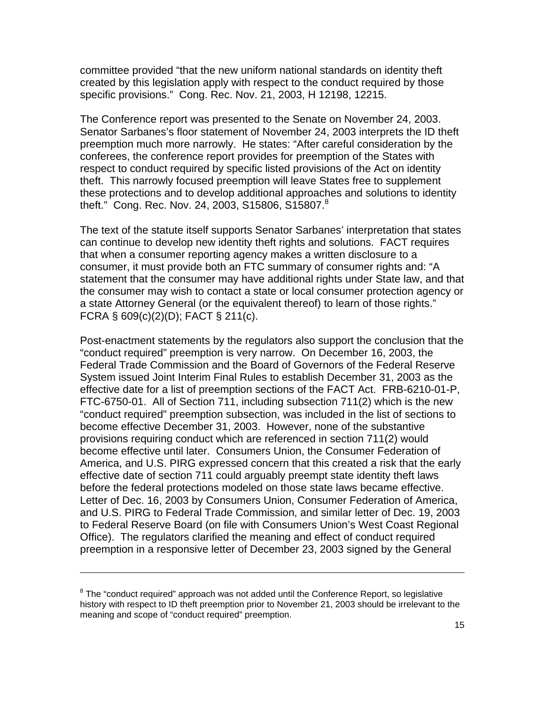committee provided "that the new uniform national standards on identity theft created by this legislation apply with respect to the conduct required by those specific provisions." Cong. Rec. Nov. 21, 2003, H 12198, 12215.

The Conference report was presented to the Senate on November 24, 2003. Senator Sarbanes's floor statement of November 24, 2003 interprets the ID theft preemption much more narrowly. He states: "After careful consideration by the conferees, the conference report provides for preemption of the States with respect to conduct required by specific listed provisions of the Act on identity theft. This narrowly focused preemption will leave States free to supplement these protections and to develop additional approaches and solutions to identity theft." Cong. Rec. Nov. 24, 2003, S15806, S15807. $8$ 

The text of the statute itself supports Senator Sarbanes' interpretation that states can continue to develop new identity theft rights and solutions. FACT requires that when a consumer reporting agency makes a written disclosure to a consumer, it must provide both an FTC summary of consumer rights and: "A statement that the consumer may have additional rights under State law, and that the consumer may wish to contact a state or local consumer protection agency or a state Attorney General (or the equivalent thereof) to learn of those rights." FCRA § 609(c)(2)(D); FACT § 211(c).

Post-enactment statements by the regulators also support the conclusion that the "conduct required" preemption is very narrow. On December 16, 2003, the Federal Trade Commission and the Board of Governors of the Federal Reserve System issued Joint Interim Final Rules to establish December 31, 2003 as the effective date for a list of preemption sections of the FACT Act. FRB-6210-01-P, FTC-6750-01. All of Section 711, including subsection 711(2) which is the new "conduct required" preemption subsection, was included in the list of sections to become effective December 31, 2003. However, none of the substantive provisions requiring conduct which are referenced in section 711(2) would become effective until later. Consumers Union, the Consumer Federation of America, and U.S. PIRG expressed concern that this created a risk that the early effective date of section 711 could arguably preempt state identity theft laws before the federal protections modeled on those state laws became effective. Letter of Dec. 16, 2003 by Consumers Union, Consumer Federation of America, and U.S. PIRG to Federal Trade Commission, and similar letter of Dec. 19, 2003 to Federal Reserve Board (on file with Consumers Union's West Coast Regional Office). The regulators clarified the meaning and effect of conduct required preemption in a responsive letter of December 23, 2003 signed by the General

l

 $8$  The "conduct required" approach was not added until the Conference Report, so legislative history with respect to ID theft preemption prior to November 21, 2003 should be irrelevant to the meaning and scope of "conduct required" preemption.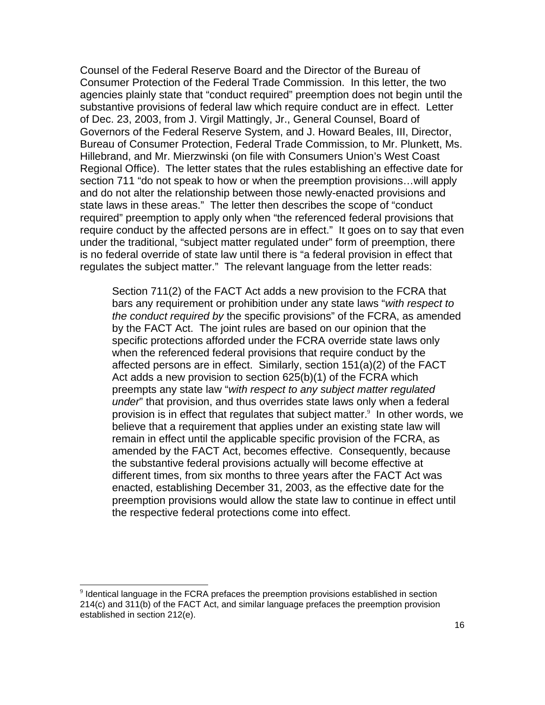Counsel of the Federal Reserve Board and the Director of the Bureau of Consumer Protection of the Federal Trade Commission. In this letter, the two agencies plainly state that "conduct required" preemption does not begin until the substantive provisions of federal law which require conduct are in effect. Letter of Dec. 23, 2003, from J. Virgil Mattingly, Jr., General Counsel, Board of Governors of the Federal Reserve System, and J. Howard Beales, III, Director, Bureau of Consumer Protection, Federal Trade Commission, to Mr. Plunkett, Ms. Hillebrand, and Mr. Mierzwinski (on file with Consumers Union's West Coast Regional Office). The letter states that the rules establishing an effective date for section 711 "do not speak to how or when the preemption provisions…will apply and do not alter the relationship between those newly-enacted provisions and state laws in these areas." The letter then describes the scope of "conduct required" preemption to apply only when "the referenced federal provisions that require conduct by the affected persons are in effect." It goes on to say that even under the traditional, "subject matter regulated under" form of preemption, there is no federal override of state law until there is "a federal provision in effect that regulates the subject matter." The relevant language from the letter reads:

Section 711(2) of the FACT Act adds a new provision to the FCRA that bars any requirement or prohibition under any state laws "*with respect to the conduct required by* the specific provisions" of the FCRA, as amended by the FACT Act. The joint rules are based on our opinion that the specific protections afforded under the FCRA override state laws only when the referenced federal provisions that require conduct by the affected persons are in effect. Similarly, section 151(a)(2) of the FACT Act adds a new provision to section 625(b)(1) of the FCRA which preempts any state law "*with respect to any subject matter regulated under*" that provision, and thus overrides state laws only when a federal provision is in effect that regulates that subject matter. $9$  In other words, we believe that a requirement that applies under an existing state law will remain in effect until the applicable specific provision of the FCRA, as amended by the FACT Act, becomes effective. Consequently, because the substantive federal provisions actually will become effective at different times, from six months to three years after the FACT Act was enacted, establishing December 31, 2003, as the effective date for the preemption provisions would allow the state law to continue in effect until the respective federal protections come into effect.

 $9$  Identical language in the FCRA prefaces the preemption provisions established in section 214(c) and 311(b) of the FACT Act, and similar language prefaces the preemption provision established in section 212(e).